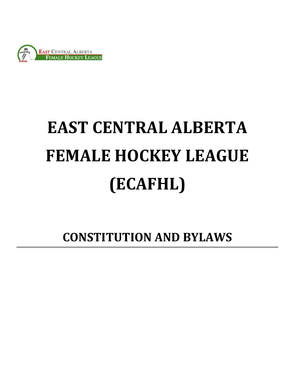

# **EAST CENTRAL ALBERTA FEMALE HOCKEY LEAGUE (ECAFHL)**

**CONSTITUTION AND BYLAWS**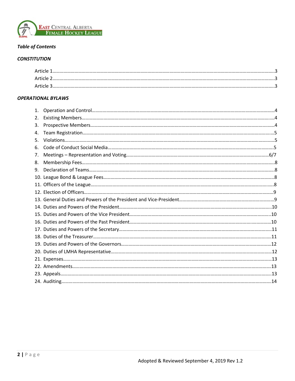

# *Table of Contents*

### *CONSTITUTION*

| Article   | . |
|-----------|---|
| 2 Article |   |
| Article 3 |   |

# *OPERATIONAL BYLAWS*

| 1. |  |
|----|--|
| 2. |  |
| 3. |  |
| 4. |  |
| 5. |  |
| 6. |  |
| 7. |  |
| 8. |  |
| 9. |  |
|    |  |
|    |  |
|    |  |
|    |  |
|    |  |
|    |  |
|    |  |
|    |  |
|    |  |
|    |  |
|    |  |
|    |  |
|    |  |
|    |  |
|    |  |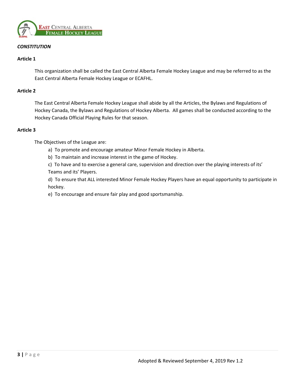

# *CONSTITUTION*

### **Article 1**

This organization shall be called the East Central Alberta Female Hockey League and may be referred to as the East Central Alberta Female Hockey League or ECAFHL.

#### **Article 2**

The East Central Alberta Female Hockey League shall abide by all the Articles, the Bylaws and Regulations of Hockey Canada, the Bylaws and Regulations of Hockey Alberta. All games shall be conducted according to the Hockey Canada Official Playing Rules for that season.

#### **Article 3**

The Objectives of the League are:

- a) To promote and encourage amateur Minor Female Hockey in Alberta.
- b) To maintain and increase interest in the game of Hockey.

c) To have and to exercise a general care, supervision and direction over the playing interests of its' Teams and its' Players.

d) To ensure that ALL interested Minor Female Hockey Players have an equal opportunity to participate in hockey.

e) To encourage and ensure fair play and good sportsmanship.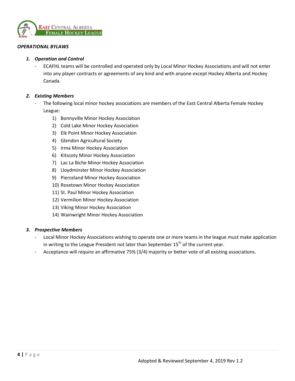

### *OPERATIONAL BYLAWS*

#### *1. Operation and Control*

- ECAFHL teams will be controlled and operated only by Local Minor Hockey Associations and will not enter into any player contracts or agreements of any kind and with anyone except Hockey Alberta and Hockey Canada.

# *2. Existing Members*

- The following local minor hockey associations are members of the East Central Alberta Female Hockey League:
	- 1) Bonnyville Minor Hockey Association
	- 2) Cold Lake Minor Hockey Association
	- 3) Elk Point Minor Hockey Association
	- 4) Glendon Agricultural Society
	- 5) Irma Minor Hockey Association
	- 6) Kitscoty Minor Hockey Association
	- 7) Lac La Biche Minor Hockey Association
	- 8) Lloydminster Minor Hockey Association
	- 9) Pierceland Minor Hockey Association
	- 10) Rosetown Minor Hockey Association
	- 11) St. Paul Minor Hockey Association
	- 12) Vermilion Minor Hockey Association
	- 13) Viking Minor Hockey Association
	- 14) Wainwright Minor Hockey Association

#### *3. Prospective Members*

- Local Minor Hockey Associations wishing to operate one or more teams in the league must make application in writing to the League President not later than September  $15<sup>th</sup>$  of the current year.
- Acceptance will require an affirmative 75% (3/4) majority or better vote of all existing associations.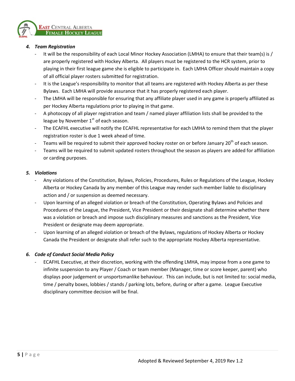

# *4. Team Registration*

- It will be the responsibility of each Local Minor Hockey Association (LMHA) to ensure that their team(s) is / are properly registered with Hockey Alberta. All players must be registered to the HCR system, prior to playing in their first league game she is eligible to participate in. Each LMHA Officer should maintain a copy of all official player rosters submitted for registration.
- It is the League's responsibility to monitor that all teams are registered with Hockey Alberta as per these Bylaws. Each LMHA will provide assurance that it has properly registered each player.
- The LMHA will be responsible for ensuring that any affiliate player used in any game is properly affiliated as per Hockey Alberta regulations prior to playing in that game.
- A photocopy of all player registration and team / named player affiliation lists shall be provided to the league by November  $1<sup>st</sup>$  of each season.
- The ECAFHL executive will notify the ECAFHL representative for each LMHA to remind them that the player registration roster is due 1 week ahead of time.
- Teams will be required to submit their approved hockey roster on or before January 20<sup>th</sup> of each season.
- Teams will be required to submit updated rosters throughout the season as players are added for affiliation or carding purposes.

#### *5. Violations*

- Any violations of the Constitution, Bylaws, Policies, Procedures, Rules or Regulations of the League, Hockey Alberta or Hockey Canada by any member of this League may render such member liable to disciplinary action and / or suspension as deemed necessary.
- Upon learning of an alleged violation or breach of the Constitution, Operating Bylaws and Policies and Procedures of the League, the President, Vice President or their designate shall determine whether there was a violation or breach and impose such disciplinary measures and sanctions as the President, Vice President or designate may deem appropriate.
- Upon learning of an alleged violation or breach of the Bylaws, regulations of Hockey Alberta or Hockey Canada the President or designate shall refer such to the appropriate Hockey Alberta representative.

#### *6. Code of Conduct Social Media Policy*

- ECAFHL Executive, at their discretion, working with the offending LMHA, may impose from a one game to infinite suspension to any Player / Coach or team member (Manager, time or score keeper, parent) who displays poor judgement or unsportsmanlike behaviour. This can include, but is not limited to: social media, time / penalty boxes, lobbies / stands / parking lots, before, during or after a game. League Executive disciplinary committee decision will be final.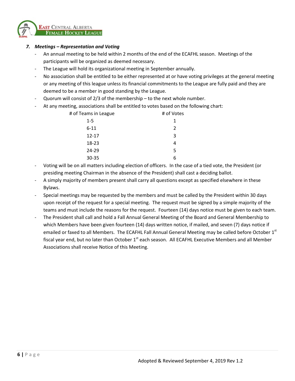

# *7. Meetings – Representation and Voting*

- An annual meeting to be held within 2 months of the end of the ECAFHL season. Meetings of the participants will be organized as deemed necessary.
- The League will hold its organizational meeting in September annually.
- No association shall be entitled to be either represented at or have voting privileges at the general meeting or any meeting of this league unless its financial commitments to the League are fully paid and they are deemed to be a member in good standing by the League.
- Quorum will consist of  $2/3$  of the membership to the next whole number.
- At any meeting, associations shall be entitled to votes based on the following chart:

| # of Teams in League | # of Votes |
|----------------------|------------|
| $1 - 5$              | 1          |
| $6 - 11$             | 2          |
| $12 - 17$            | 3          |
| 18-23                | 4          |
| 24-29                | 5          |
| 30-35                |            |

- Voting will be on all matters including election of officers. In the case of a tied vote, the President (or presiding meeting Chairman in the absence of the President) shall cast a deciding ballot.
- A simply majority of members present shall carry all questions except as specified elsewhere in these Bylaws.
- Special meetings may be requested by the members and must be called by the President within 30 days upon receipt of the request for a special meeting. The request must be signed by a simple majority of the teams and must include the reasons for the request. Fourteen (14) days notice must be given to each team.
- The President shall call and hold a Fall Annual General Meeting of the Board and General Membership to which Members have been given fourteen (14) days written notice, if mailed, and seven (7) days notice if emailed or faxed to all Members. The ECAFHL Fall Annual General Meeting may be called before October  $1<sup>st</sup>$ fiscal year end, but no later than October  $1<sup>st</sup>$  each season. All ECAFHL Executive Members and all Member Associations shall receive Notice of this Meeting.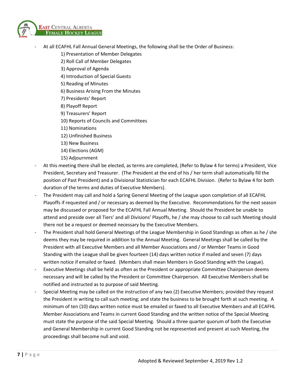

- At all ECAFHL Fall Annual General Meetings, the following shall be the Order of Business:
	- 1) Presentation of Member Delegates
	- 2) Roll Call of Member Delegates
	- 3) Approval of Agenda
	- 4) Introduction of Special Guests
	- 5) Reading of Minutes
	- 6) Business Arising From the Minutes
	- 7) Presidents' Report
	- 8) Playoff Report
	- 9) Treasurers' Report
	- 10) Reports of Councils and Committees
	- 11) Nominations
	- 12) Unfinished Business
	- 13) New Business
	- 14) Elections (AGM)
	- 15) Adjournment
- At this meeting there shall be elected, as terms are completed, (Refer to Bylaw 4 for terms) a President, Vice President, Secretary and Treasurer. (The President at the end of his / her term shall automatically fill the position of Past President) and a Divisional Statistician for each ECAFHL Division. (Refer to Bylaw 4 for both duration of the terms and duties of Executive Members).
- The President may call and hold a Spring General Meeting of the League upon completion of all ECAFHL Playoffs if requested and / or necessary as deemed by the Executive. Recommendations for the next season may be discussed or proposed for the ECAFHL Fall Annual Meeting. Should the President be unable to attend and preside over all Tiers' and all Divisions' Playoffs, he / she may choose to call such Meeting should there not be a request or deemed necessary by the Executive Members.
- The President shall hold General Meetings of the League Membership in Good Standings as often as he / she deems they may be required in addition to the Annual Meeting. General Meetings shall be called by the President with all Executive Members and all Member Associations and / or Member Teams in Good Standing with the League shall be given fourteen (14) days written notice if mailed and seven (7) days written notice if emailed or faxed. (Members shall mean Members in Good Standing with the League).
- Executive Meetings shall be held as often as the President or appropriate Committee Chairperson deems necessary and will be called by the President or Committee Chairperson. All Executive Members shall be notified and instructed as to purpose of said Meeting.
- Special Meeting may be called on the instruction of any two (2) Executive Members; provided they request the President in writing to call such meeting; and state the business to be brought forth at such meeting. A minimum of ten (10) days written notice must be emailed or faxed to all Executive Members and all ECAFHL Member Associations and Teams in current Good Standing and the written notice of the Special Meeting must state the purpose of the said Special Meeting. Should a three quarter quorum of both the Executive and General Membership in current Good Standing not be represented and present at such Meeting, the proceedings shall become null and void.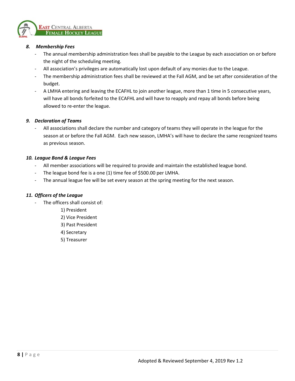

# *8. Membership Fees*

- The annual membership administration fees shall be payable to the League by each association on or before the night of the scheduling meeting.
- All association's privileges are automatically lost upon default of any monies due to the League.
- The membership administration fees shall be reviewed at the Fall AGM, and be set after consideration of the budget.
- A LMHA entering and leaving the ECAFHL to join another league, more than 1 time in 5 consecutive years, will have all bonds forfeited to the ECAFHL and will have to reapply and repay all bonds before being allowed to re-enter the league.

# *9. Declaration of Teams*

All associations shall declare the number and category of teams they will operate in the league for the season at or before the Fall AGM. Each new season, LMHA's will have to declare the same recognized teams as previous season.

# *10. League Bond & League Fees*

- All member associations will be required to provide and maintain the established league bond.
- The league bond fee is a one (1) time fee of \$500.00 per LMHA.
- The annual league fee will be set every season at the spring meeting for the next season.

# *11. Officers of the League*

- The officers shall consist of:
	- 1) President
	- 2) Vice President
	- 3) Past President
	- 4) Secretary
	- 5) Treasurer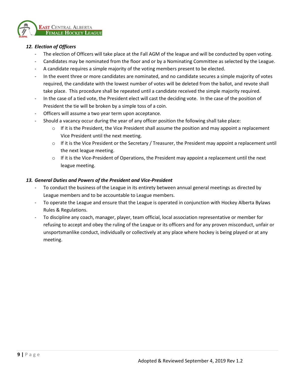

# *12. Election of Officers*

- The election of Officers will take place at the Fall AGM of the league and will be conducted by open voting.
- Candidates may be nominated from the floor and or by a Nominating Committee as selected by the League.
- A candidate requires a simple majority of the voting members present to be elected.
- In the event three or more candidates are nominated, and no candidate secures a simple majority of votes required, the candidate with the lowest number of votes will be deleted from the ballot, and revote shall take place. This procedure shall be repeated until a candidate received the simple majority required.
- In the case of a tied vote, the President elect will cast the deciding vote. In the case of the position of President the tie will be broken by a simple toss of a coin.
- Officers will assume a two year term upon acceptance.
- Should a vacancy occur during the year of any officer position the following shall take place:
	- $\circ$  If it is the President, the Vice President shall assume the position and may appoint a replacement Vice President until the next meeting.
	- $\circ$  If it is the Vice President or the Secretary / Treasurer, the President may appoint a replacement until the next league meeting.
	- $\circ$  If it is the Vice-President of Operations, the President may appoint a replacement until the next league meeting.

# *13. General Duties and Powers of the President and Vice-President*

- To conduct the business of the League in its entirety between annual general meetings as directed by League members and to be accountable to League members.
- To operate the League and ensure that the League is operated in conjunction with Hockey Alberta Bylaws Rules & Regulations.
- To discipline any coach, manager, player, team official, local association representative or member for refusing to accept and obey the ruling of the League or its officers and for any proven misconduct, unfair or unsportsmanlike conduct, individually or collectively at any place where hockey is being played or at any meeting.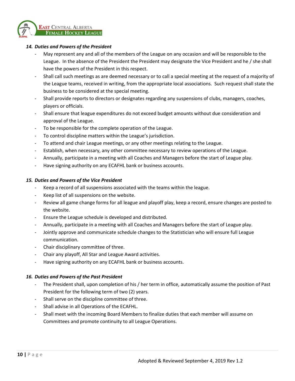

#### *14. Duties and Powers of the President*

- May represent any and all of the members of the League on any occasion and will be responsible to the League. In the absence of the President the President may designate the Vice President and he / she shall have the powers of the President in this respect.
- Shall call such meetings as are deemed necessary or to call a special meeting at the request of a majority of the League teams, received in writing, from the appropriate local associations. Such request shall state the business to be considered at the special meeting.
- Shall provide reports to directors or designates regarding any suspensions of clubs, managers, coaches, players or officials.
- Shall ensure that league expenditures do not exceed budget amounts without due consideration and approval of the League.
- To be responsible for the complete operation of the League.
- To control discipline matters within the League's jurisdiction.
- To attend and chair League meetings, or any other meetings relating to the League.
- Establish, when necessary, any other committee necessary to review operations of the League.
- Annually, participate in a meeting with all Coaches and Managers before the start of League play.
- Have signing authority on any ECAFHL bank or business accounts.

#### *15. Duties and Powers of the Vice President*

- Keep a record of all suspensions associated with the teams within the league.
- Keep list of all suspensions on the website.
- Review all game change forms for all league and playoff play, keep a record, ensure changes are posted to the website.
- Ensure the League schedule is developed and distributed.
- Annually, participate in a meeting with all Coaches and Managers before the start of League play.
- Jointly approve and communicate schedule changes to the Statistician who will ensure full League communication.
- Chair disciplinary committee of three.
- Chair any playoff, All Star and League Award activities.
- Have signing authority on any ECAFHL bank or business accounts.

#### *16. Duties and Powers of the Past President*

- The President shall, upon completion of his / her term in office, automatically assume the position of Past President for the following term of two (2) years.
- Shall serve on the discipline committee of three.
- Shall advise in all Operations of the ECAFHL.
- Shall meet with the incoming Board Members to finalize duties that each member will assume on Committees and promote continuity to all League Operations.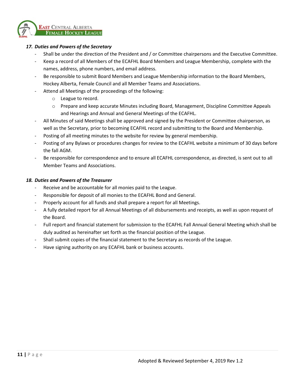

# *17. Duties and Powers of the Secretary*

- Shall be under the direction of the President and / or Committee chairpersons and the Executive Committee.
- Keep a record of all Members of the ECAFHL Board Members and League Membership, complete with the names, address, phone numbers, and email address.
- Be responsible to submit Board Members and League Membership information to the Board Members, Hockey Alberta, Female Council and all Member Teams and Associations.
- Attend all Meetings of the proceedings of the following:
	- o League to record.
	- o Prepare and keep accurate Minutes including Board, Management, Discipline Committee Appeals and Hearings and Annual and General Meetings of the ECAFHL.
- All Minutes of said Meetings shall be approved and signed by the President or Committee chairperson, as well as the Secretary, prior to becoming ECAFHL record and submitting to the Board and Membership.
- Posting of all meeting minutes to the website for review by general membership.
- Posting of any Bylaws or procedures changes for review to the ECAFHL website a minimum of 30 days before the fall AGM.
- Be responsible for correspondence and to ensure all ECAFHL correspondence, as directed, is sent out to all Member Teams and Associations.

#### *18. Duties and Powers of the Treasurer*

- Receive and be accountable for all monies paid to the League.
- Responsible for deposit of all monies to the ECAFHL Bond and General.
- Properly account for all funds and shall prepare a report for all Meetings.
- A fully detailed report for all Annual Meetings of all disbursements and receipts, as well as upon request of the Board.
- Full report and financial statement for submission to the ECAFHL Fall Annual General Meeting which shall be duly audited as hereinafter set forth as the financial position of the League.
- Shall submit copies of the financial statement to the Secretary as records of the League.
- Have signing authority on any ECAFHL bank or business accounts.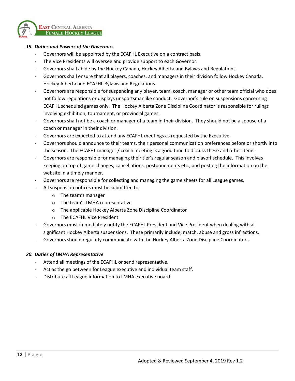

#### *19. Duties and Powers of the Governors*

- Governors will be appointed by the ECAFHL Executive on a contract basis.
- The Vice Presidents will oversee and provide support to each Governor.
- Governors shall abide by the Hockey Canada, Hockey Alberta and Bylaws and Regulations.
- Governors shall ensure that all players, coaches, and managers in their division follow Hockey Canada, Hockey Alberta and ECAFHL Bylaws and Regulations.
- Governors are responsible for suspending any player, team, coach, manager or other team official who does not follow regulations or displays unsportsmanlike conduct. Governor's rule on suspensions concerning ECAFHL scheduled games only. The Hockey Alberta Zone Discipline Coordinator is responsible for rulings involving exhibition, tournament, or provincial games.
- Governors shall not be a coach or manager of a team in their division. They should not be a spouse of a coach or manager in their division.
- Governors are expected to attend any ECAFHL meetings as requested by the Executive.
- Governors should announce to their teams, their personal communication preferences before or shortly into the season. The ECAFHL manager / coach meeting is a good time to discuss these and other items.
- Governors are responsible for managing their tier's regular season and playoff schedule. This involves keeping on top of game changes, cancellations, postponements etc., and posting the information on the website in a timely manner.
- Governors are responsible for collecting and managing the game sheets for all League games.
- All suspension notices must be submitted to:
	- o The team's manager
	- o The team's LMHA representative
	- o The applicable Hockey Alberta Zone Discipline Coordinator
	- o The ECAFHL Vice President
- Governors must immediately notify the ECAFHL President and Vice President when dealing with all significant Hockey Alberta suspensions. These primarily include; match, abuse and gross infractions.
- Governors should regularly communicate with the Hockey Alberta Zone Discipline Coordinators.

#### *20. Duties of LMHA Representative*

- Attend all meetings of the ECAFHL or send representative.
- Act as the go between for League executive and individual team staff.
- Distribute all League information to LMHA executive board.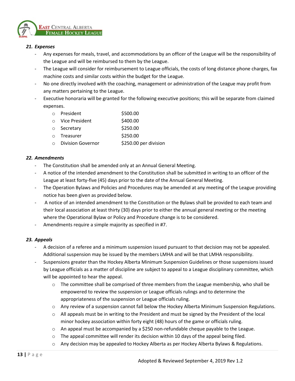

# *21. Expenses*

- Any expenses for meals, travel, and accommodations by an officer of the League will be the responsibility of the League and will be reimbursed to them by the League.
- The League will consider for reimbursement to League officials, the costs of long distance phone charges, fax machine costs and similar costs within the budget for the League.
- No one directly involved with the coaching, management or administration of the League may profit from any matters pertaining to the League.
- Executive honoraria will be granted for the following executive positions; this will be separate from claimed expenses.

| $\cap$ | President                | \$500.00              |
|--------|--------------------------|-----------------------|
|        | Vice President           | \$400.00              |
|        | ○ Secretary              | \$250.00              |
| $\cap$ | Treasurer                | \$250.00              |
|        | <b>Division Governor</b> | \$250.00 per division |

# *22. Amendments*

- The Constitution shall be amended only at an Annual General Meeting.
- A notice of the intended amendment to the Constitution shall be submitted in writing to an officer of the League at least forty-five (45) days prior to the date of the Annual General Meeting.
- The Operation Bylaws and Policies and Procedures may be amended at any meeting of the League providing notice has been given as provided below.
- A notice of an intended amendment to the Constitution or the Bylaws shall be provided to each team and their local association at least thirty (30) days prior to either the annual general meeting or the meeting where the Operational Bylaw or Policy and Procedure change is to be considered.
- Amendments require a simple majority as specified in #7.

# *23. Appeals*

- A decision of a referee and a minimum suspension issued pursuant to that decision may not be appealed. Additional suspension may be issued by the members LMHA and will be that LMHA responsibility.
- Suspensions greater than the Hockey Alberta Minimum Suspension Guidelines or those suspensions issued by League officials as a matter of discipline are subject to appeal to a League disciplinary committee, which will be appointed to hear the appeal.
	- $\circ$  The committee shall be comprised of three members from the League membership, who shall be empowered to review the suspension or League officials rulings and to determine the appropriateness of the suspension or League officials ruling.
	- o Any review of a suspension cannot fall below the Hockey Alberta Minimum Suspension Regulations.
	- o All appeals must be in writing to the President and must be signed by the President of the local minor hockey association within forty eight (48) hours of the game or officials ruling.
	- $\circ$  An appeal must be accompanied by a \$250 non-refundable cheque payable to the League.
	- $\circ$  The appeal committee will render its decision within 10 days of the appeal being filed.
	- o Any decision may be appealed to Hockey Alberta as per Hockey Alberta Bylaws & Regulations.